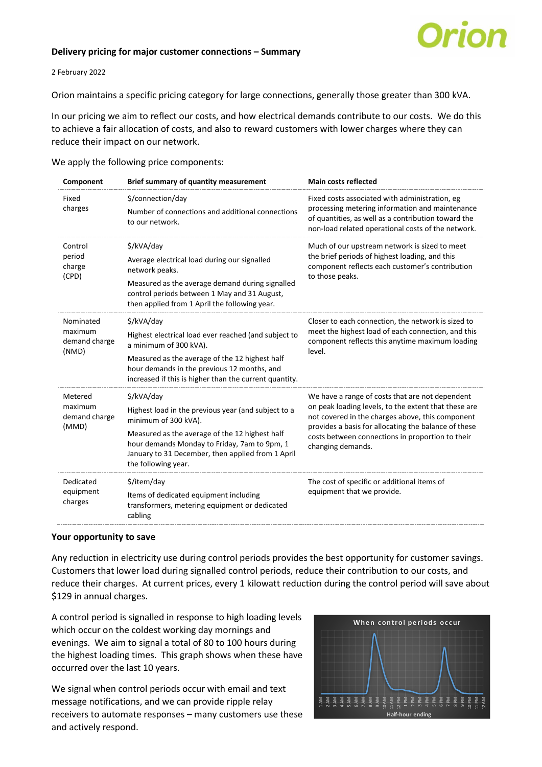## **Delivery pricing for major customer connections – Summary**



## 2 February 2022

Orion maintains a specific pricing category for large connections, generally those greater than 300 kVA.

In our pricing we aim to reflect our costs, and how electrical demands contribute to our costs. We do this to achieve a fair allocation of costs, and also to reward customers with lower charges where they can reduce their impact on our network.

We apply the following price components:

| Component                                      | <b>Brief summary of quantity measurement</b>                                                                                                                                                                                                                            | <b>Main costs reflected</b>                                                                                                                                                                                                                                                                  |  |  |  |
|------------------------------------------------|-------------------------------------------------------------------------------------------------------------------------------------------------------------------------------------------------------------------------------------------------------------------------|----------------------------------------------------------------------------------------------------------------------------------------------------------------------------------------------------------------------------------------------------------------------------------------------|--|--|--|
| Fixed<br>charges                               | \$/connection/day<br>Number of connections and additional connections<br>to our network.                                                                                                                                                                                | Fixed costs associated with administration, eg<br>processing metering information and maintenance<br>of quantities, as well as a contribution toward the<br>non-load related operational costs of the network.                                                                               |  |  |  |
| Control<br>period<br>charge<br>(CPD)           | \$/kVA/day<br>Average electrical load during our signalled<br>network peaks.<br>Measured as the average demand during signalled<br>control periods between 1 May and 31 August,<br>then applied from 1 April the following year.                                        | Much of our upstream network is sized to meet<br>the brief periods of highest loading, and this<br>component reflects each customer's contribution<br>to those peaks.                                                                                                                        |  |  |  |
| Nominated<br>maximum<br>demand charge<br>(NMD) | \$/kVA/day<br>Highest electrical load ever reached (and subject to<br>a minimum of 300 kVA).<br>Measured as the average of the 12 highest half<br>hour demands in the previous 12 months, and<br>increased if this is higher than the current quantity.                 | Closer to each connection, the network is sized to<br>meet the highest load of each connection, and this<br>component reflects this anytime maximum loading<br>level.                                                                                                                        |  |  |  |
| Metered<br>maximum<br>demand charge<br>(MMD)   | \$/kVA/day<br>Highest load in the previous year (and subject to a<br>minimum of 300 kVA).<br>Measured as the average of the 12 highest half<br>hour demands Monday to Friday, 7am to 9pm, 1<br>January to 31 December, then applied from 1 April<br>the following year. | We have a range of costs that are not dependent<br>on peak loading levels, to the extent that these are<br>not covered in the charges above, this component<br>provides a basis for allocating the balance of these<br>costs between connections in proportion to their<br>changing demands. |  |  |  |
| Dedicated<br>equipment<br>charges              | \$/item/day<br>Items of dedicated equipment including<br>transformers, metering equipment or dedicated<br>cabling                                                                                                                                                       | The cost of specific or additional items of<br>equipment that we provide.                                                                                                                                                                                                                    |  |  |  |

## **Your opportunity to save**

Any reduction in electricity use during control periods provides the best opportunity for customer savings. Customers that lower load during signalled control periods, reduce their contribution to our costs, and reduce their charges. At current prices, every 1 kilowatt reduction during the control period will save about \$129 in annual charges.

A control period is signalled in response to high loading levels which occur on the coldest working day mornings and evenings. We aim to signal a total of 80 to 100 hours during the highest loading times. This graph shows when these have occurred over the last 10 years.

We signal when control periods occur with email and text message notifications, and we can provide ripple relay receivers to automate responses – many customers use these and actively respond.